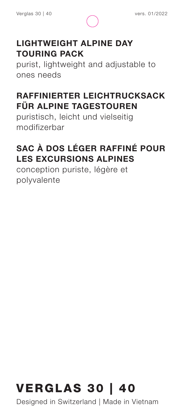

#### **LIGHTWEIGHT ALPINE DAY TOURING PACK**

purist, lightweight and adjustable to ones needs

#### **RAFFINIERTER LEICHTRUCKSACK FÜR ALPINE TAGESTOUREN**

puristisch, leicht und vielseitig modifizerbar

#### **SAC À DOS LÉGER RAFFINÉ POUR LES EXCURSIONS ALPINES**

conception puriste, légère et polyvalente

## VERGLAS 30 | 40

Designed in Switzerland | Made in Vietnam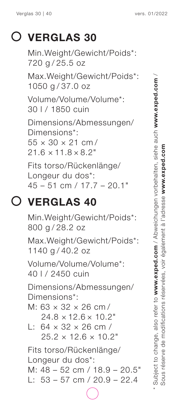#### **VERGLAS 30**

Min.Weight/Gewicht/Poids\*: 720 g / 25.5 oz

Max.Weight/Gewicht/Poids\*: 1050 g / 37.0 oz

Volume/Volume/Volume\*: 30 l / 1850 cuin

Dimensions/Abmessungen/ Dimensions\*: 55 × 30 × 21 cm /  $21.6 \times 11.8 \times 8.2$ "

Fits torso/Rückenlänge/ Longeur du dos\*:  $45 - 51$  cm  $/17.7 - 20.1$ "

## **VERGLAS 40**

Min.Weight/Gewicht/Poids\*: 800 g / 28.2 oz Max.Weight/Gewicht/Poids\*: 1140 g / 40.2 oz Volume/Volume/Volume\*: 40 l / 2450 cuin Dimensions/Abmessungen/ Dimensions\*:  $M: 63 \times 32 \times 26$  cm / 24.8 × 12.6 × 10.2"  $1.64 \times 32 \times 26$  cm /  $25.2 \times 12.6 \times 10.2$ " Fits torso/Rückenlänge/ Longeur du dos\*: M: 48 – 52 cm / 18.9 – 20.5" L:  $53 - 57$  cm  $/ 20.9 - 22.4$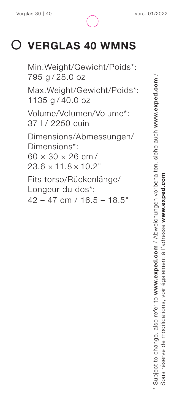

Min.Weight/Gewicht/Poids\*: 795 g / 28.0 oz Max.Weight/Gewicht/Poids\*: 1135 g / 40.0 oz Volume/Volumen/Volume\*: 37 l / 2250 cuin Dimensions/Abmessungen/ Dimensions\*:  $60 \times 30 \times 26$  cm /  $23.6 \times 11.8 \times 10.2$ " Fits torso/Rückenlänge/ Longeur du dos\*: 42 – 47 cm / 16.5 – 18.5"

\* Subject to change, also refer to **www.exped.com** / Abweichungen vorbehalten, siehe auch **www.exped.com** / Subject to change, also refer to www.exped.com / Abweichungen vorbehalten, siehe auch www.exped.com Sous réserve de modifications, voir également à l'adresse **www.exped.com**  Sous réserve de modifications, voir également à l'adresse www.exped.com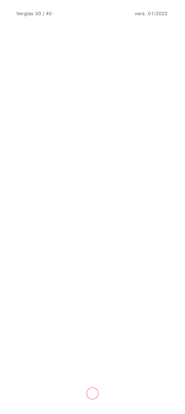Verglas 30 | 40 vers. 01/2022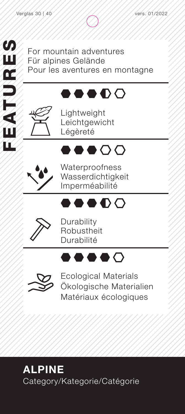

For mountain adventures<br>
Für alpines Gelände<br>
Pour les aventures en mondiale<br>
Pour les aventures en mondiale<br>
Pour Lightweight<br>
Lightweight<br>
Lightweight<br>
Lightweight<br>
Constant Lightweight Für alpines Gelände Pour les aventures en montagne



Lightweight Leichtgewicht Légèreté



Waterproofness Wasserdichtigkeit Imperméabilité





Durability Robustheit Durabilité

## $\bullet\bullet\bullet\bullet\circ$



Ecological Materials Ökologische Materialien Matériaux écologiques

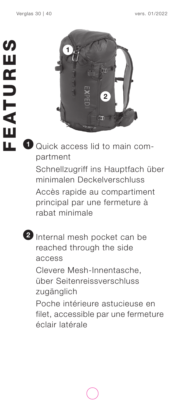

**1** Quick access lid to main compartment Schnellzugriff ins Hauptfach über minimalen Deckelverschluss Accès rapide au compartiment principal par une fermeture à rabat minimale



**2** Internal mesh pocket can be reached through the side access Clevere Mesh-Innentasche, über Seitenreissverschluss zugänglich

Poche intérieure astucieuse en filet, accessible par une fermeture éclair latérale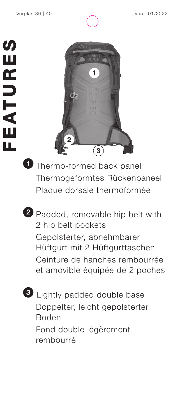

S FEATURES FEATURE



**1** Thermo-formed back panel Thermogeformtes Rückenpaneel Plaque dorsale thermoformée

- **2** Padded, removable hip belt with 2 hip belt pockets Gepolsterter, abnehmbarer Hüftgurt mit 2 Hüftgurttaschen Ceinture de hanches rembourrée et amovible équipée de 2 poches
- 

**3** Lightly padded double base Doppelter, leicht gepolsterter Boden Fond double légèrement rembourré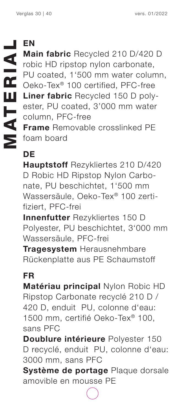# Ma<sub>rob</sub>us<br>Mar<sub>ob</sub>us<br>Mar<sub>ob</sub>us<br>Mar<sub>oa</sub>

**Main fabric** Recycled 210 D/420 D robic HD ripstop nylon carbonate, PU coated, 1'500 mm water column, Oeko-Tex ® 100 certified, PFC-free **Liner fabric** Recycled 150 D poly ester, PU coated, 3'000 mm water column, PFC-free **Frame** Removable crosslinked PE

foam board

#### **DE**

**Hauptstoff** Rezykliertes 210 D/420 D Robic HD Ripstop Nylon Carbo nate, PU beschichtet, 1'500 mm Wassersäule, Oeko-Tex ® 100 zerti fiziert, PFC-frei

**Innenfutter** Rezykliertes 150 D Polyester, PU beschichtet, 3'000 mm Wassersäule, PFC-frei

**Tragesystem** Herausnehmbare Rückenplatte aus PE Schaumstoff

#### **FR**

**Matériau principal** Nylon Robic HD Ripstop Carbonate recyclé 210 D / 420 D, enduit PU, colonne d'eau: 1500 mm, certifié Oeko-Tex ® 100, sans PFC

**Doublure intérieure** Polyester 150 D recyclé, enduit PU, colonne d'eau: 3000 mm, sans PFC

**Système de portage** Plaque dorsale amovible en mousse PE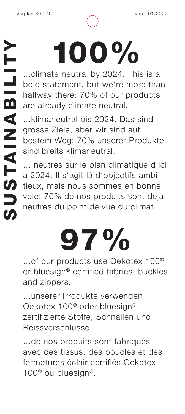# 100%

...climate neutral by 2024. This is a bold statement, but we're more than halfway there: 70% of our products are already climate neutral.

...klimaneutral bis 2024. Das sind grosse Ziele, aber wir sind auf bestem Weg: 70% unserer Produkte sind breits klimaneutral.

... neutres sur le plan climatique d'ici à 2024. Il s'agit là d'objectifs ambitieux, mais nous sommes en bonne voie: 70% de nos produits sont déjà neutres du point de vue du climat. Verglas 30 | 46 vers. 01/2022<br>
Sustainable neutral by 2024. This is a<br>
subdid statement, but we're more than<br>
nalfway there: 70% of our products<br>
are already climate neutral.<br>
.... Klimaneutral bis 2024. Das sind<br>
grosse Z

# 97%

...of our products use Oekotex 100® or bluesign® certified fabrics, buckles and zippers.

...unserer Produkte verwenden Oekotex 100® oder bluesign® zertifizierte Stoffe, Schnallen und Reissverschlüsse.

...de nos produits sont fabriqués avec des tissus, des boucles et des fermetures éclair certifiés Oekotex 100® ou bluesign®.